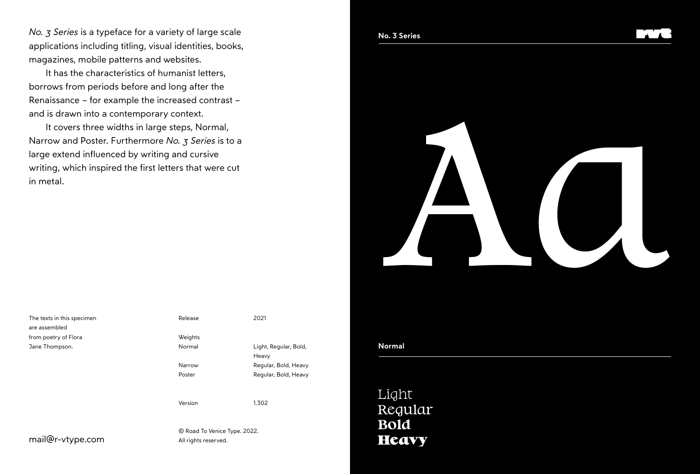*No. 3 Series* is a typeface for a variety of large scale applications including titling, visual identities, books, magazines, mobile patterns and websites.

It has the characteristics of humanist letters, borrows from periods before and long after the Renaissance – for example the increased contrast – and is drawn into a contemporary context.

It covers three widths in large steps, Normal, Narrow and Poster. Furthermore *No. 3 Series* is to a large extend influenced by writing and cursive writing, which inspired the first letters that were cut in metal.



The texts in this specimen are assembled from poetry of Flora Jane Thompson.

Release Weights

Normal Narrow Poster

Version

© Road To Venice Type. 2022. All rights reserved.

2021

Heavy

1.302

Light, Regular, Bold,

Regular, Bold, Heavy Regular, Bold, Heavy

### **Normal**

Light Regular **Bold Heavy**

mail@r-vtype.com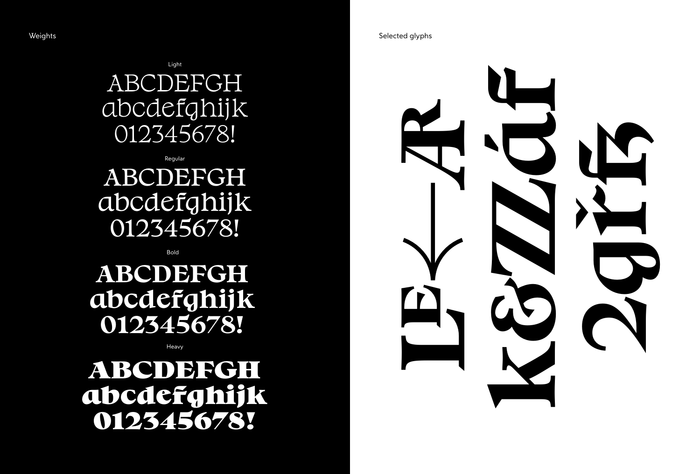ABCDEFGH abcdefghijk 012345678! Light

Regular

### ABCDEFGH abcdefghijk 012345678!

Bold

### **ABCDEFGH abcdefghijk 012345678!**

Heavy

### **ABCDEFGH abcdefghijk 012345678!**

Weights Selected glyphs and the selected glyphs of the Selected glyphs Selected glyphs of the Selected glyphs of the Selected glyphs of the Selected glyphs of the Selected glyphs of the Selected glyphs of the Selected glyp

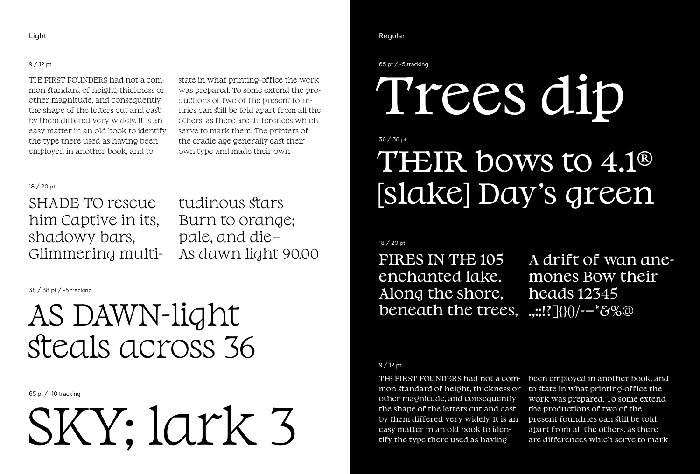#### 9 / 12 pt

THE FIRST FOUNDERS had not a common standard of height, thickness or other magnitude, and consequently the shape of the letters cut and cast by them differed very widely. It is an easy matter in an old book to identify the type there used as having been employed in another book, and to

state in what printing-office the work was prepared. To some extend the productions of two of the present foundries can still be told apart from all the others, as there are differences which serve to mark them. The printers of the cradle age generally cast their own type and made their own

### 18 / 20 pt

SHADE TO rescue him Captive in its, shadowy bars, Glimmering multitudinous stars Burn to orange; pale, and die— As dawn light 90.00

38 / 38 pt / -5 tracking

### AS DAWN-light steals across 36

65 pt / -10 tracking

SKY; lark 3

#### Light Regular Regular Regular Regular Regular Regular Regular Regular Regular Regular Regular Regular Regular

65 pt / -5 tracking

# Trees dip

### 36 / 38 pt

### THEIR bows to 4.1<sup>®</sup> [slake] Day's green

### 18 / 20 pt

FIRES IN THE 105 enchanted lake. Along the shore, beneath the trees,

A drift of wan anemones Bow their heads 12345  $...$ :!?[]{}()/--\*&%@

#### 9 / 12 pt

THE FIRST FOUNDERS had not a common standard of height, thickness or other magnitude, and consequently the shape of the letters cut and cast by them differed very widely. It is an easy matter in an old book to identify the type there used as having

been employed in another book, and to state in what printing-office the work was prepared. To some extend the productions of two of the present foundries can still be told apart from all the others, as there are differences which serve to mark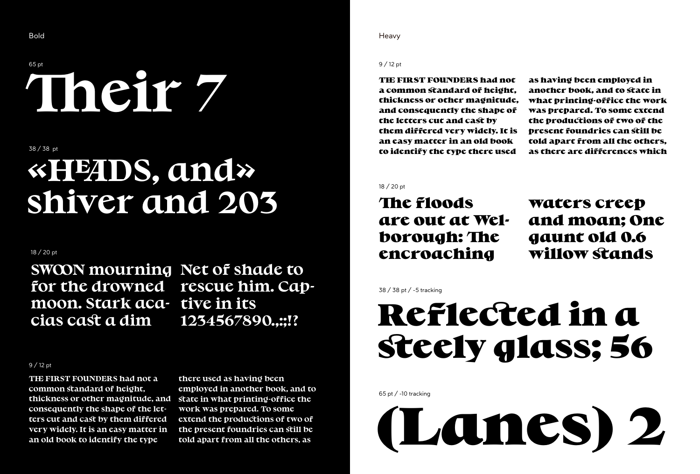### 65 pt **Their 7**

38 / 38 pt

# **«HEADS, and» shiver and 203**

### 18 / 20 pt

**SWOON mourning Net of shade to for the drowned rescue him. Capmoon. Stark aca-tive in its cias cast a dim**

**1234567890.,:;!?**

#### 9 / 12 pt

**THE FIRST FOUNDERS had not a common standard of height, thickness or other magnitude, and consequently the shape of the letters cut and cast by them differed very widely. It is an easy matter in an old book to identify the type**

**there used as having been employed in another book, and to state in what printing-office the work was prepared. To some extend the productions of two of the present foundries can still be told apart from all the others, as**

Bold **Bold** Heavy and the second second second second second second second second second second second second second second second second second second second second second second second second second second second second

#### 9 / 12 pt

**THE FIRST FOUNDERS had not a common standard of height, thickness or other magnitude, and consequently the shape of the letters cut and cast by them differed very widely. It is an easy matter in an old book to identify the type there used**

**as having been employed in another book, and to state in what printing-office the work was prepared. To some extend the productions of two of the present foundries can still be told apart from all the others, as there are differences which**

18 / 20 pt

### **The floods are out at Welborough:The encroaching**

**waters creep and moan; One gaunt old 0.6 willow stands**

#### 38 / 38 pt / -5 tracking

## **Reflected in a steely glass; 56**

65 pt / -10 tracking

**(Lanes) 2**